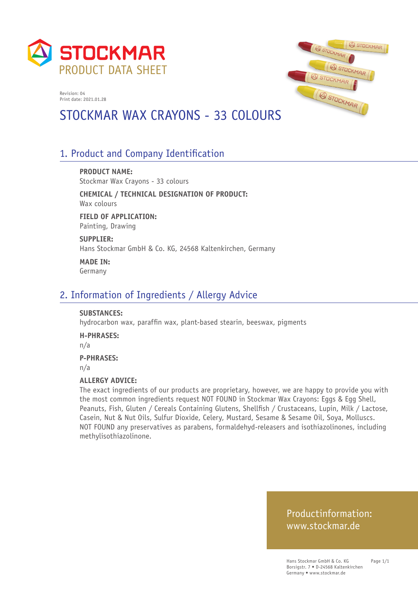



# STOCKMAR WAX CRAYONS - 33 COLOURS

# 1. Product and Company Identification

**PRODUCT NAME:** Stockmar Wax Crayons - 33 colours

**CHEMICAL / TECHNICAL DESIGNATION OF PRODUCT:** Wax colours

**FIELD OF APPLICATION:** Painting, Drawing

**SUPPLIER:** Hans Stockmar GmbH & Co. KG, 24568 Kaltenkirchen, Germany

**MADE IN:** Germany

## 2. Information of Ingredients / Allergy Advice

#### **SUBSTANCES:**

hydrocarbon wax, paraffin wax, plant-based stearin, beeswax, pigments

**H-PHRASES:**

n/a

#### **P-PHRASES:**

n/a

#### **ALLERGY ADVICE:**

The exact ingredients of our products are proprietary, however, we are happy to provide you with the most common ingredients request NOT FOUND in Stockmar Wax Crayons: Eggs & Egg Shell, Peanuts, Fish, Gluten / Cereals Containing Glutens, Shellfish / Crustaceans, Lupin, Milk / Lactose, Casein, Nut & Nut Oils, Sulfur Dioxide, Celery, Mustard, Sesame & Sesame Oil, Soya, Molluscs. NOT FOUND any preservatives as parabens, formaldehyd-releasers and isothiazolinones, including methylisothiazolinone.

#### Productinformation: www.stockmar.de

Hans Stockmar GmbH & Co. KG Borsigstr. 7 • D-24568 Kaltenkirchen Germany • www.stockmar.de

Page 1/1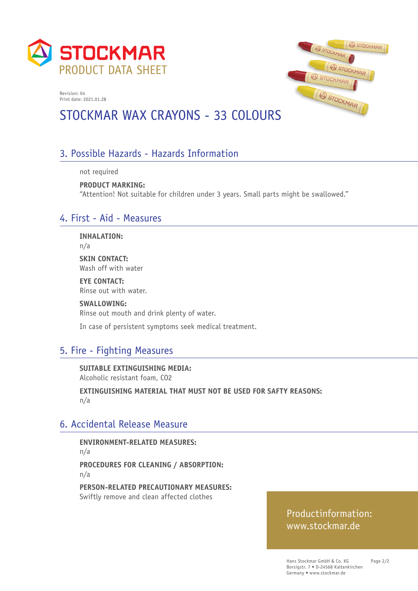



# STOCKMAR WAX CRAYONS - 33 COLOURS

# 3. Possible Hazards - Hazards Information

not required

**PRODUCT MARKING:**  "Attention! Not suitable for children under 3 years. Small parts might be swallowed."

## 4. First - Aid - Measures

**INHALATION:**

n/a

**SKIN CONTACT:** Wash off with water

**EYE CONTACT:** Rinse out with water.

**SWALLOWING:** Rinse out mouth and drink plenty of water.

In case of persistent symptoms seek medical treatment.

# 5. Fire - Fighting Measures

**SUITABLE EXTINGUISHING MEDIA:**  Alcoholic resistant foam, CO2

**EXTINGUISHING MATERIAL THAT MUST NOT BE USED FOR SAFTY REASONS:**  n/a

## 6. Accidental Release Measure

**ENVIRONMENT-RELATED MEASURES:**  n/a **PROCEDURES FOR CLEANING / ABSORPTION:**  n/a

**PERSON-RELATED PRECAUTIONARY MEASURES:**  Swiftly remove and clean affected clothes

## Productinformation: www.stockmar.de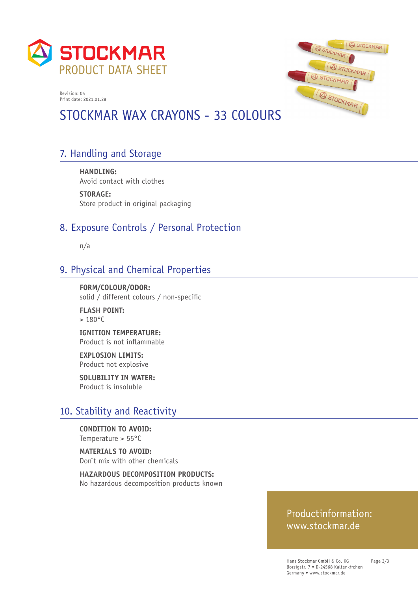

# STOCKMAR WAX CRAYONS - 33 COLOURS

# 7. Handling and Storage

**HANDLING:**  Avoid contact with clothes

**STORAGE:**  Store product in original packaging

# 8. Exposure Controls / Personal Protection

n/a

## 9. Physical and Chemical Properties

**FORM/COLOUR/ODOR:**  solid / different colours / non-specific

**FLASH POINT:**   $> 180^{\circ}$ C

**IGNITION TEMPERATURE:**  Product is not inflammable

**EXPLOSION LIMITS:**  Product not explosive

**SOLUBILITY IN WATER:**  Product is insoluble

#### 10. Stability and Reactivity

**CONDITION TO AVOID:**  Temperature > 55°C

**MATERIALS TO AVOID:**  Don`t mix with other chemicals

**HAZARDOUS DECOMPOSITION PRODUCTS:**  No hazardous decomposition products known



#### Productinformation: www.stockmar.de

Hans Stockmar GmbH & Co. KG Borsigstr. 7 • D-24568 Kaltenkirchen Germany • www.stockmar.de